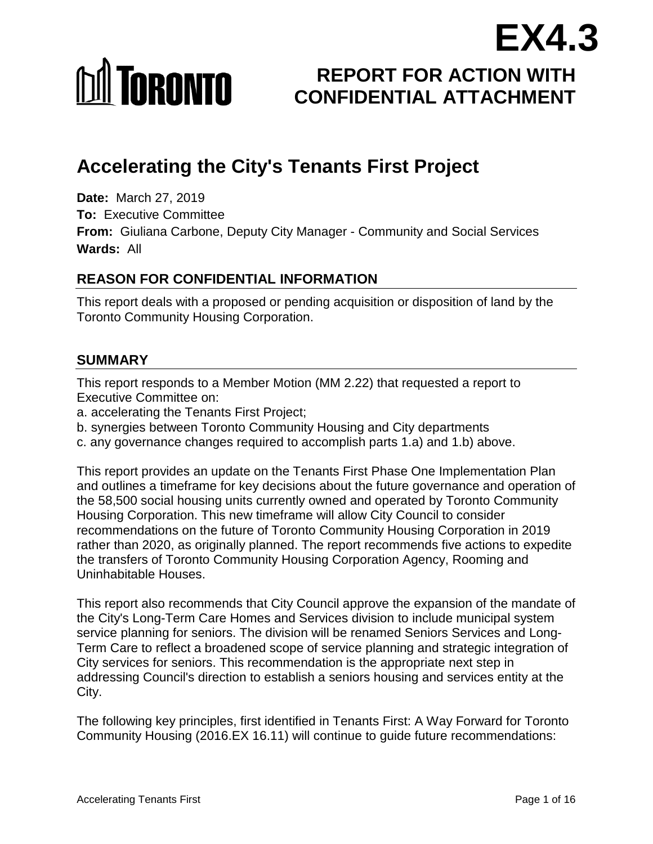# **MI TORONTO**

# **REPORT FOR ACTION WITH CONFIDENTIAL ATTACHMENT EX4.3**

# **Accelerating the City's Tenants First Project**

**Date:** March 27, 2019 **To:** Executive Committee **From:** Giuliana Carbone, Deputy City Manager - Community and Social Services **Wards:** All

## **REASON FOR CONFIDENTIAL INFORMATION**

This report deals with a proposed or pending acquisition or disposition of land by the Toronto Community Housing Corporation.

## **SUMMARY**

This report responds to a Member Motion (MM 2.22) that requested a report to Executive Committee on:

- a. accelerating the Tenants First Project;
- b. synergies between Toronto Community Housing and City departments
- c. any governance changes required to accomplish parts 1.a) and 1.b) above.

This report provides an update on the Tenants First Phase One Implementation Plan and outlines a timeframe for key decisions about the future governance and operation of the 58,500 social housing units currently owned and operated by Toronto Community Housing Corporation. This new timeframe will allow City Council to consider recommendations on the future of Toronto Community Housing Corporation in 2019 rather than 2020, as originally planned. The report recommends five actions to expedite the transfers of Toronto Community Housing Corporation Agency, Rooming and Uninhabitable Houses.

This report also recommends that City Council approve the expansion of the mandate of the City's Long-Term Care Homes and Services division to include municipal system service planning for seniors. The division will be renamed Seniors Services and Long-Term Care to reflect a broadened scope of service planning and strategic integration of City services for seniors. This recommendation is the appropriate next step in addressing Council's direction to establish a seniors housing and services entity at the City.

The following key principles, first identified in Tenants First: A Way Forward for Toronto Community Housing (2016.EX 16.11) will continue to guide future recommendations: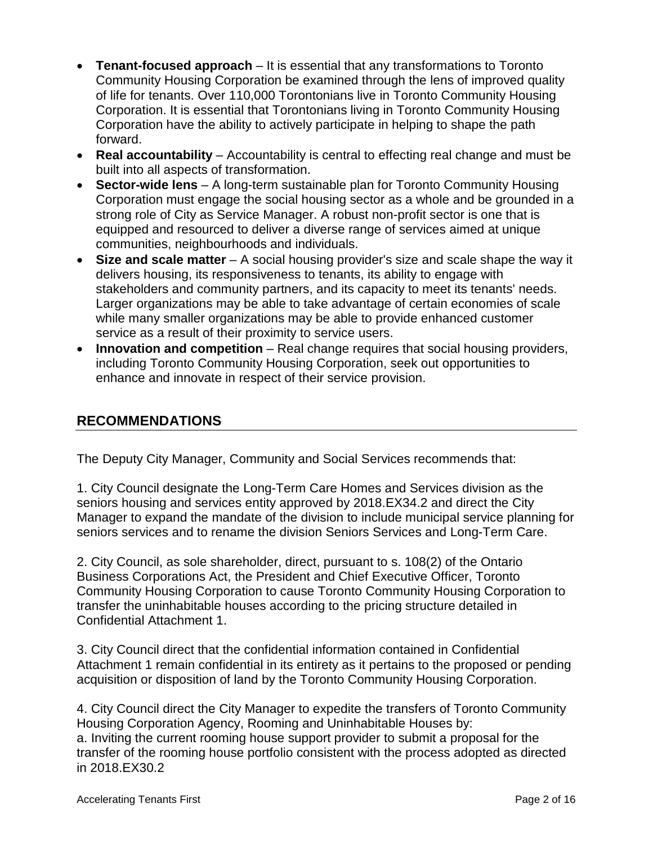- **Tenant-focused approach** It is essential that any transformations to Toronto Community Housing Corporation be examined through the lens of improved quality of life for tenants. Over 110,000 Torontonians live in Toronto Community Housing Corporation. It is essential that Torontonians living in Toronto Community Housing Corporation have the ability to actively participate in helping to shape the path forward.
- **Real accountability** Accountability is central to effecting real change and must be built into all aspects of transformation.
- **Sector-wide lens** A long-term sustainable plan for Toronto Community Housing Corporation must engage the social housing sector as a whole and be grounded in a strong role of City as Service Manager. A robust non-profit sector is one that is equipped and resourced to deliver a diverse range of services aimed at unique communities, neighbourhoods and individuals.
- **Size and scale matter** A social housing provider's size and scale shape the way it delivers housing, its responsiveness to tenants, its ability to engage with stakeholders and community partners, and its capacity to meet its tenants' needs. Larger organizations may be able to take advantage of certain economies of scale while many smaller organizations may be able to provide enhanced customer service as a result of their proximity to service users.
- **Innovation and competition** Real change requires that social housing providers, including Toronto Community Housing Corporation, seek out opportunities to enhance and innovate in respect of their service provision.

# **RECOMMENDATIONS**

The Deputy City Manager, Community and Social Services recommends that:

1. City Council designate the Long-Term Care Homes and Services division as the seniors housing and services entity approved by 2018.EX34.2 and direct the City Manager to expand the mandate of the division to include municipal service planning for seniors services and to rename the division Seniors Services and Long-Term Care.

2. City Council, as sole shareholder, direct, pursuant to s. 108(2) of the Ontario Business Corporations Act, the President and Chief Executive Officer, Toronto Community Housing Corporation to cause Toronto Community Housing Corporation to transfer the uninhabitable houses according to the pricing structure detailed in Confidential Attachment 1.

3. City Council direct that the confidential information contained in Confidential Attachment 1 remain confidential in its entirety as it pertains to the proposed or pending acquisition or disposition of land by the Toronto Community Housing Corporation.

4. City Council direct the City Manager to expedite the transfers of Toronto Community Housing Corporation Agency, Rooming and Uninhabitable Houses by: a. Inviting the current rooming house support provider to submit a proposal for the transfer of the rooming house portfolio consistent with the process adopted as directed in 2018.EX30.2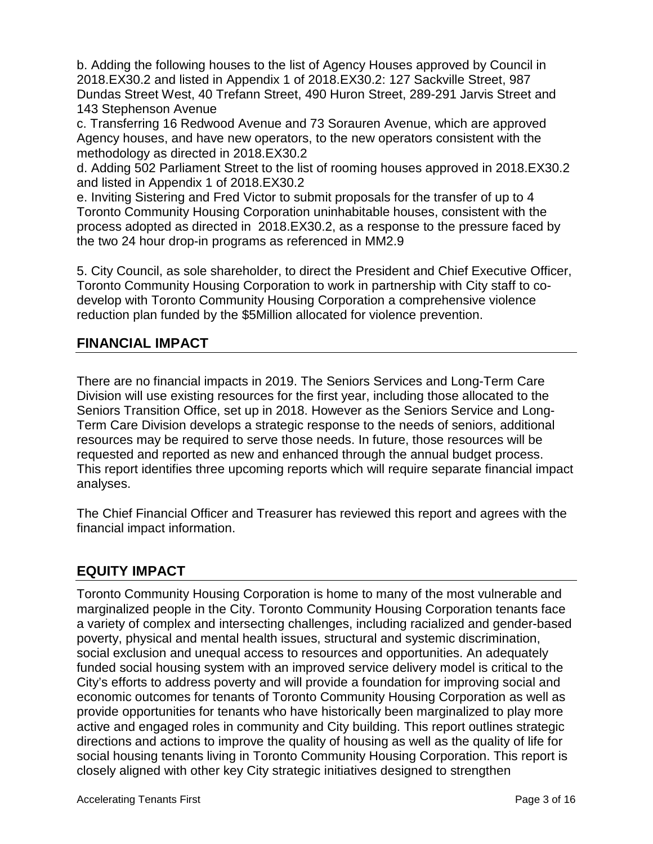b. Adding the following houses to the list of Agency Houses approved by Council in 2018.EX30.2 and listed in Appendix 1 of 2018.EX30.2: 127 Sackville Street, 987 Dundas Street West, 40 Trefann Street, 490 Huron Street, 289-291 Jarvis Street and 143 Stephenson Avenue

c. Transferring 16 Redwood Avenue and 73 Sorauren Avenue, which are approved Agency houses, and have new operators, to the new operators consistent with the methodology as directed in 2018.EX30.2

d. Adding 502 Parliament Street to the list of rooming houses approved in 2018.EX30.2 and listed in Appendix 1 of 2018.EX30.2

e. Inviting Sistering and Fred Victor to submit proposals for the transfer of up to 4 Toronto Community Housing Corporation uninhabitable houses, consistent with the process adopted as directed in 2018.EX30.2, as a response to the pressure faced by the two 24 hour drop-in programs as referenced in MM2.9

5. City Council, as sole shareholder, to direct the President and Chief Executive Officer, Toronto Community Housing Corporation to work in partnership with City staff to codevelop with Toronto Community Housing Corporation a comprehensive violence reduction plan funded by the \$5Million allocated for violence prevention.

# **FINANCIAL IMPACT**

There are no financial impacts in 2019. The Seniors Services and Long-Term Care Division will use existing resources for the first year, including those allocated to the Seniors Transition Office, set up in 2018. However as the Seniors Service and Long-Term Care Division develops a strategic response to the needs of seniors, additional resources may be required to serve those needs. In future, those resources will be requested and reported as new and enhanced through the annual budget process. This report identifies three upcoming reports which will require separate financial impact analyses.

The Chief Financial Officer and Treasurer has reviewed this report and agrees with the financial impact information.

# **EQUITY IMPACT**

Toronto Community Housing Corporation is home to many of the most vulnerable and marginalized people in the City. Toronto Community Housing Corporation tenants face a variety of complex and intersecting challenges, including racialized and gender-based poverty, physical and mental health issues, structural and systemic discrimination, social exclusion and unequal access to resources and opportunities. An adequately funded social housing system with an improved service delivery model is critical to the City's efforts to address poverty and will provide a foundation for improving social and economic outcomes for tenants of Toronto Community Housing Corporation as well as provide opportunities for tenants who have historically been marginalized to play more active and engaged roles in community and City building. This report outlines strategic directions and actions to improve the quality of housing as well as the quality of life for social housing tenants living in Toronto Community Housing Corporation. This report is closely aligned with other key City strategic initiatives designed to strengthen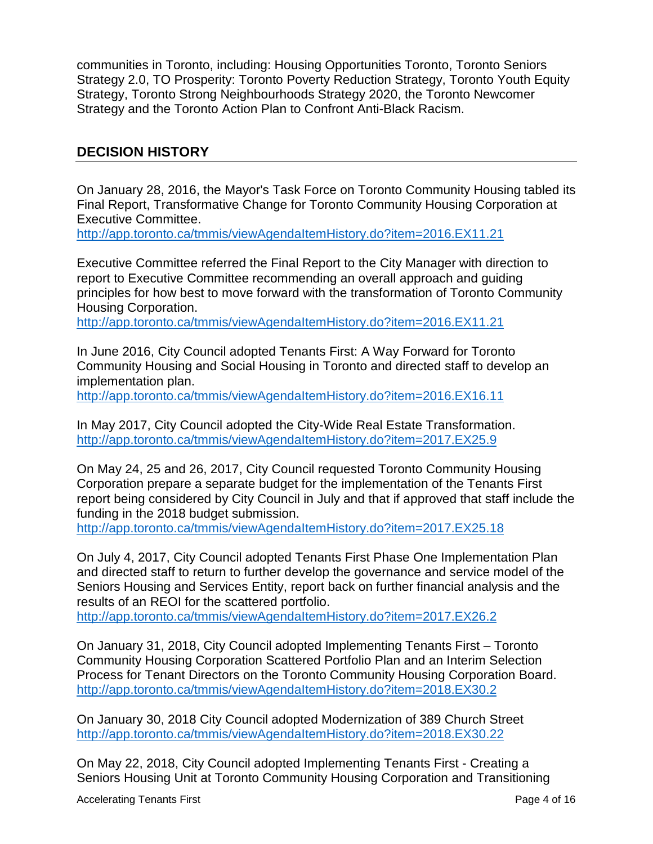communities in Toronto, including: Housing Opportunities Toronto, Toronto Seniors Strategy 2.0, TO Prosperity: Toronto Poverty Reduction Strategy, Toronto Youth Equity Strategy, Toronto Strong Neighbourhoods Strategy 2020, the Toronto Newcomer Strategy and the Toronto Action Plan to Confront Anti-Black Racism.

### **DECISION HISTORY**

On January 28, 2016, the Mayor's Task Force on Toronto Community Housing tabled its Final Report, Transformative Change for Toronto Community Housing Corporation at Executive Committee.

<http://app.toronto.ca/tmmis/viewAgendaItemHistory.do?item=2016.EX11.21>

Executive Committee referred the Final Report to the City Manager with direction to report to Executive Committee recommending an overall approach and guiding principles for how best to move forward with the transformation of Toronto Community Housing Corporation.

<http://app.toronto.ca/tmmis/viewAgendaItemHistory.do?item=2016.EX11.21>

In June 2016, City Council adopted Tenants First: A Way Forward for Toronto Community Housing and Social Housing in Toronto and directed staff to develop an implementation plan.

<http://app.toronto.ca/tmmis/viewAgendaItemHistory.do?item=2016.EX16.11>

In May 2017, City Council adopted the City-Wide Real Estate Transformation. <http://app.toronto.ca/tmmis/viewAgendaItemHistory.do?item=2017.EX25.9>

On May 24, 25 and 26, 2017, City Council requested Toronto Community Housing Corporation prepare a separate budget for the implementation of the Tenants First report being considered by City Council in July and that if approved that staff include the funding in the 2018 budget submission.

<http://app.toronto.ca/tmmis/viewAgendaItemHistory.do?item=2017.EX25.18>

On July 4, 2017, City Council adopted Tenants First Phase One Implementation Plan and directed staff to return to further develop the governance and service model of the Seniors Housing and Services Entity, report back on further financial analysis and the results of an REOI for the scattered portfolio.

<http://app.toronto.ca/tmmis/viewAgendaItemHistory.do?item=2017.EX26.2>

On January 31, 2018, City Council adopted Implementing Tenants First – Toronto Community Housing Corporation Scattered Portfolio Plan and an Interim Selection Process for Tenant Directors on the Toronto Community Housing Corporation Board. <http://app.toronto.ca/tmmis/viewAgendaItemHistory.do?item=2018.EX30.2>

On January 30, 2018 City Council adopted Modernization of 389 Church Street <http://app.toronto.ca/tmmis/viewAgendaItemHistory.do?item=2018.EX30.22>

On May 22, 2018, City Council adopted Implementing Tenants First - Creating a Seniors Housing Unit at Toronto Community Housing Corporation and Transitioning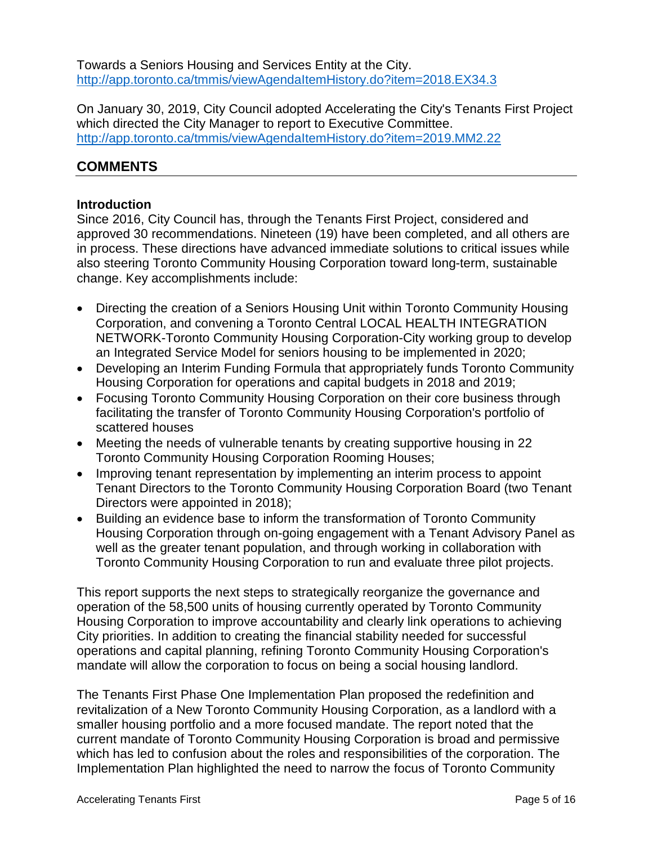Towards a Seniors Housing and Services Entity at the City. http://app.toronto.ca/tmmis/viewAgendaItemHistory.do?item=2018.EX34.3

On January 30, 2019, City Council adopted Accelerating the City's Tenants First Project which directed the City Manager to report to Executive Committee. <http://app.toronto.ca/tmmis/viewAgendaItemHistory.do?item=2019.MM2.22>

# **COMMENTS**

#### **Introduction**

Since 2016, City Council has, through the Tenants First Project, considered and approved 30 recommendations. Nineteen (19) have been completed, and all others are in process. These directions have advanced immediate solutions to critical issues while also steering Toronto Community Housing Corporation toward long-term, sustainable change. Key accomplishments include:

- Directing the creation of a Seniors Housing Unit within Toronto Community Housing Corporation, and convening a Toronto Central LOCAL HEALTH INTEGRATION NETWORK-Toronto Community Housing Corporation-City working group to develop an Integrated Service Model for seniors housing to be implemented in 2020;
- Developing an Interim Funding Formula that appropriately funds Toronto Community Housing Corporation for operations and capital budgets in 2018 and 2019;
- Focusing Toronto Community Housing Corporation on their core business through facilitating the transfer of Toronto Community Housing Corporation's portfolio of scattered houses
- Meeting the needs of vulnerable tenants by creating supportive housing in 22 Toronto Community Housing Corporation Rooming Houses;
- Improving tenant representation by implementing an interim process to appoint Tenant Directors to the Toronto Community Housing Corporation Board (two Tenant Directors were appointed in 2018);
- Building an evidence base to inform the transformation of Toronto Community Housing Corporation through on-going engagement with a Tenant Advisory Panel as well as the greater tenant population, and through working in collaboration with Toronto Community Housing Corporation to run and evaluate three pilot projects.

This report supports the next steps to strategically reorganize the governance and operation of the 58,500 units of housing currently operated by Toronto Community Housing Corporation to improve accountability and clearly link operations to achieving City priorities. In addition to creating the financial stability needed for successful operations and capital planning, refining Toronto Community Housing Corporation's mandate will allow the corporation to focus on being a social housing landlord.

The Tenants First Phase One Implementation Plan proposed the redefinition and revitalization of a New Toronto Community Housing Corporation, as a landlord with a smaller housing portfolio and a more focused mandate. The report noted that the current mandate of Toronto Community Housing Corporation is broad and permissive which has led to confusion about the roles and responsibilities of the corporation. The Implementation Plan highlighted the need to narrow the focus of Toronto Community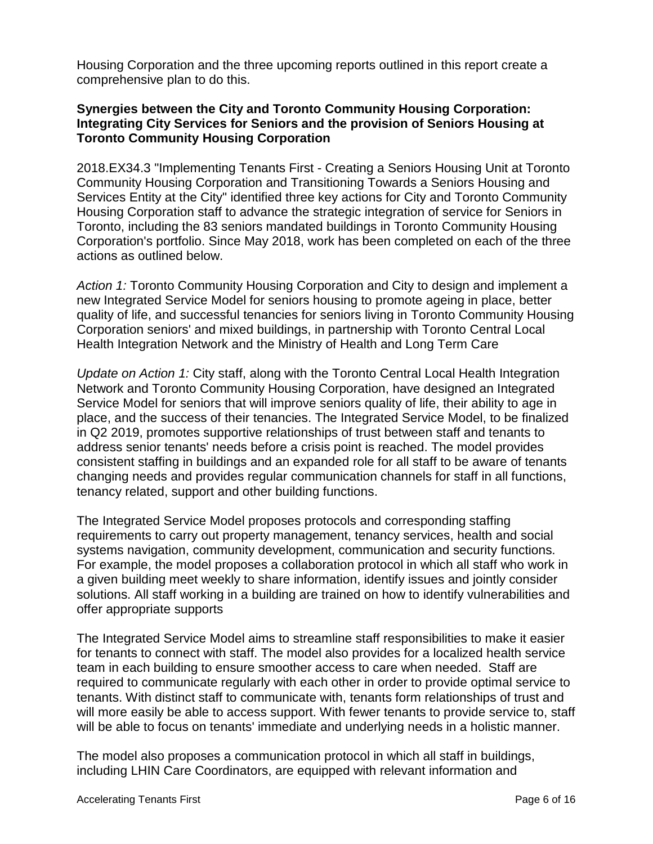Housing Corporation and the three upcoming reports outlined in this report create a comprehensive plan to do this.

#### **Synergies between the City and Toronto Community Housing Corporation: Integrating City Services for Seniors and the provision of Seniors Housing at Toronto Community Housing Corporation**

2018.EX34.3 "Implementing Tenants First - Creating a Seniors Housing Unit at Toronto Community Housing Corporation and Transitioning Towards a Seniors Housing and Services Entity at the City" identified three key actions for City and Toronto Community Housing Corporation staff to advance the strategic integration of service for Seniors in Toronto, including the 83 seniors mandated buildings in Toronto Community Housing Corporation's portfolio. Since May 2018, work has been completed on each of the three actions as outlined below.

*Action 1:* Toronto Community Housing Corporation and City to design and implement a new Integrated Service Model for seniors housing to promote ageing in place, better quality of life, and successful tenancies for seniors living in Toronto Community Housing Corporation seniors' and mixed buildings, in partnership with Toronto Central Local Health Integration Network and the Ministry of Health and Long Term Care

*Update on Action 1:* City staff, along with the Toronto Central Local Health Integration Network and Toronto Community Housing Corporation, have designed an Integrated Service Model for seniors that will improve seniors quality of life, their ability to age in place, and the success of their tenancies. The Integrated Service Model, to be finalized in Q2 2019, promotes supportive relationships of trust between staff and tenants to address senior tenants' needs before a crisis point is reached. The model provides consistent staffing in buildings and an expanded role for all staff to be aware of tenants changing needs and provides regular communication channels for staff in all functions, tenancy related, support and other building functions.

The Integrated Service Model proposes protocols and corresponding staffing requirements to carry out property management, tenancy services, health and social systems navigation, community development, communication and security functions. For example, the model proposes a collaboration protocol in which all staff who work in a given building meet weekly to share information, identify issues and jointly consider solutions. All staff working in a building are trained on how to identify vulnerabilities and offer appropriate supports

The Integrated Service Model aims to streamline staff responsibilities to make it easier for tenants to connect with staff. The model also provides for a localized health service team in each building to ensure smoother access to care when needed. Staff are required to communicate regularly with each other in order to provide optimal service to tenants. With distinct staff to communicate with, tenants form relationships of trust and will more easily be able to access support. With fewer tenants to provide service to, staff will be able to focus on tenants' immediate and underlying needs in a holistic manner.

The model also proposes a communication protocol in which all staff in buildings, including LHIN Care Coordinators, are equipped with relevant information and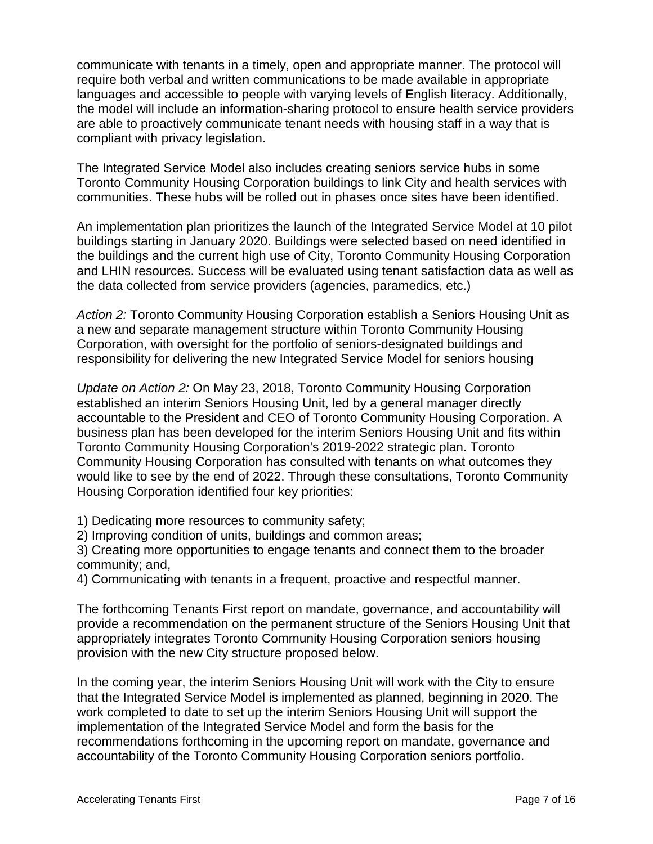communicate with tenants in a timely, open and appropriate manner. The protocol will require both verbal and written communications to be made available in appropriate languages and accessible to people with varying levels of English literacy. Additionally, the model will include an information-sharing protocol to ensure health service providers are able to proactively communicate tenant needs with housing staff in a way that is compliant with privacy legislation.

The Integrated Service Model also includes creating seniors service hubs in some Toronto Community Housing Corporation buildings to link City and health services with communities. These hubs will be rolled out in phases once sites have been identified.

An implementation plan prioritizes the launch of the Integrated Service Model at 10 pilot buildings starting in January 2020. Buildings were selected based on need identified in the buildings and the current high use of City, Toronto Community Housing Corporation and LHIN resources. Success will be evaluated using tenant satisfaction data as well as the data collected from service providers (agencies, paramedics, etc.)

*Action 2:* Toronto Community Housing Corporation establish a Seniors Housing Unit as a new and separate management structure within Toronto Community Housing Corporation, with oversight for the portfolio of seniors-designated buildings and responsibility for delivering the new Integrated Service Model for seniors housing

*Update on Action 2:* On May 23, 2018, Toronto Community Housing Corporation established an interim Seniors Housing Unit, led by a general manager directly accountable to the President and CEO of Toronto Community Housing Corporation. A business plan has been developed for the interim Seniors Housing Unit and fits within Toronto Community Housing Corporation's 2019-2022 strategic plan. Toronto Community Housing Corporation has consulted with tenants on what outcomes they would like to see by the end of 2022. Through these consultations, Toronto Community Housing Corporation identified four key priorities:

1) Dedicating more resources to community safety;

2) Improving condition of units, buildings and common areas;

3) Creating more opportunities to engage tenants and connect them to the broader community; and,

4) Communicating with tenants in a frequent, proactive and respectful manner.

The forthcoming Tenants First report on mandate, governance, and accountability will provide a recommendation on the permanent structure of the Seniors Housing Unit that appropriately integrates Toronto Community Housing Corporation seniors housing provision with the new City structure proposed below.

In the coming year, the interim Seniors Housing Unit will work with the City to ensure that the Integrated Service Model is implemented as planned, beginning in 2020. The work completed to date to set up the interim Seniors Housing Unit will support the implementation of the Integrated Service Model and form the basis for the recommendations forthcoming in the upcoming report on mandate, governance and accountability of the Toronto Community Housing Corporation seniors portfolio.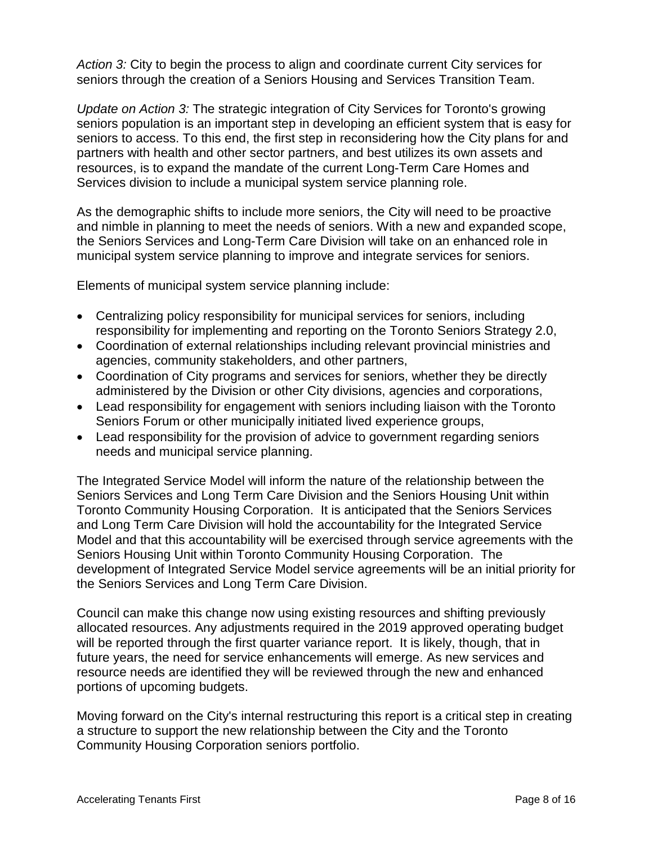*Action 3:* City to begin the process to align and coordinate current City services for seniors through the creation of a Seniors Housing and Services Transition Team.

*Update on Action 3:* The strategic integration of City Services for Toronto's growing seniors population is an important step in developing an efficient system that is easy for seniors to access. To this end, the first step in reconsidering how the City plans for and partners with health and other sector partners, and best utilizes its own assets and resources, is to expand the mandate of the current Long-Term Care Homes and Services division to include a municipal system service planning role.

As the demographic shifts to include more seniors, the City will need to be proactive and nimble in planning to meet the needs of seniors. With a new and expanded scope, the Seniors Services and Long-Term Care Division will take on an enhanced role in municipal system service planning to improve and integrate services for seniors.

Elements of municipal system service planning include:

- Centralizing policy responsibility for municipal services for seniors, including responsibility for implementing and reporting on the Toronto Seniors Strategy 2.0,
- Coordination of external relationships including relevant provincial ministries and agencies, community stakeholders, and other partners,
- Coordination of City programs and services for seniors, whether they be directly administered by the Division or other City divisions, agencies and corporations,
- Lead responsibility for engagement with seniors including liaison with the Toronto Seniors Forum or other municipally initiated lived experience groups,
- Lead responsibility for the provision of advice to government regarding seniors needs and municipal service planning.

The Integrated Service Model will inform the nature of the relationship between the Seniors Services and Long Term Care Division and the Seniors Housing Unit within Toronto Community Housing Corporation. It is anticipated that the Seniors Services and Long Term Care Division will hold the accountability for the Integrated Service Model and that this accountability will be exercised through service agreements with the Seniors Housing Unit within Toronto Community Housing Corporation. The development of Integrated Service Model service agreements will be an initial priority for the Seniors Services and Long Term Care Division.

Council can make this change now using existing resources and shifting previously allocated resources. Any adjustments required in the 2019 approved operating budget will be reported through the first quarter variance report. It is likely, though, that in future years, the need for service enhancements will emerge. As new services and resource needs are identified they will be reviewed through the new and enhanced portions of upcoming budgets.

Moving forward on the City's internal restructuring this report is a critical step in creating a structure to support the new relationship between the City and the Toronto Community Housing Corporation seniors portfolio.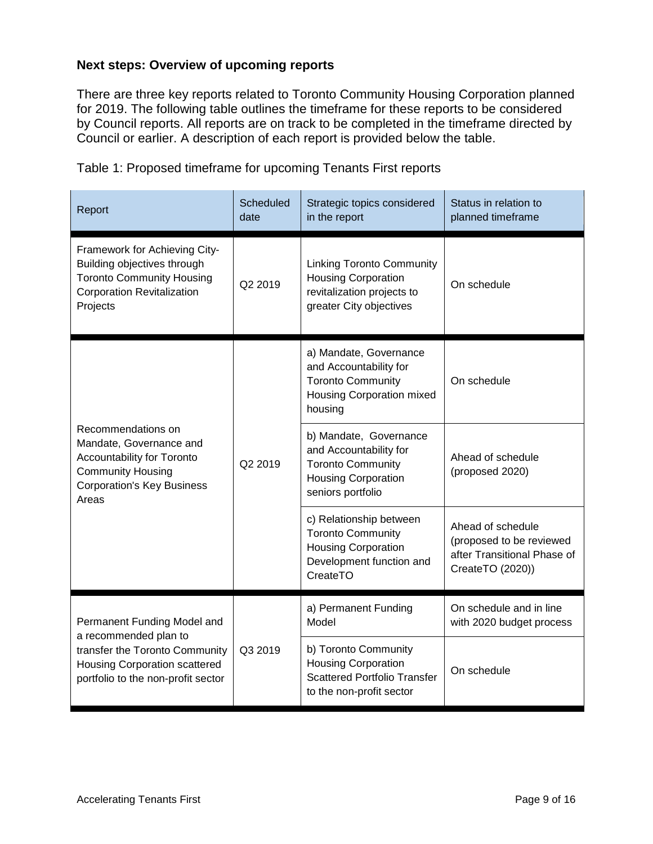#### **Next steps: Overview of upcoming reports**

There are three key reports related to Toronto Community Housing Corporation planned for 2019. The following table outlines the timeframe for these reports to be considered by Council reports. All reports are on track to be completed in the timeframe directed by Council or earlier. A description of each report is provided below the table.

| Report                                                                                                                                                               | Scheduled<br>date | Strategic topics considered<br>in the report                                                                                    | Status in relation to<br>planned timeframe                                                       |  |
|----------------------------------------------------------------------------------------------------------------------------------------------------------------------|-------------------|---------------------------------------------------------------------------------------------------------------------------------|--------------------------------------------------------------------------------------------------|--|
| Framework for Achieving City-<br>Building objectives through<br><b>Toronto Community Housing</b><br><b>Corporation Revitalization</b><br>Projects                    | Q2 2019           | <b>Linking Toronto Community</b><br><b>Housing Corporation</b><br>revitalization projects to<br>greater City objectives         | On schedule                                                                                      |  |
| Recommendations on<br>Mandate, Governance and<br>Accountability for Toronto<br><b>Community Housing</b><br><b>Corporation's Key Business</b><br>Areas                | Q2 2019           | a) Mandate, Governance<br>and Accountability for<br><b>Toronto Community</b><br>Housing Corporation mixed<br>housing            | On schedule                                                                                      |  |
|                                                                                                                                                                      |                   | b) Mandate, Governance<br>and Accountability for<br><b>Toronto Community</b><br><b>Housing Corporation</b><br>seniors portfolio | Ahead of schedule<br>(proposed 2020)                                                             |  |
|                                                                                                                                                                      |                   | c) Relationship between<br><b>Toronto Community</b><br><b>Housing Corporation</b><br>Development function and<br>CreateTO       | Ahead of schedule<br>(proposed to be reviewed<br>after Transitional Phase of<br>CreateTO (2020)) |  |
| Permanent Funding Model and<br>a recommended plan to<br>transfer the Toronto Community<br><b>Housing Corporation scattered</b><br>portfolio to the non-profit sector | Q3 2019           | a) Permanent Funding<br>Model                                                                                                   | On schedule and in line<br>with 2020 budget process                                              |  |
|                                                                                                                                                                      |                   | b) Toronto Community<br><b>Housing Corporation</b><br><b>Scattered Portfolio Transfer</b><br>to the non-profit sector           | On schedule                                                                                      |  |

Table 1: Proposed timeframe for upcoming Tenants First reports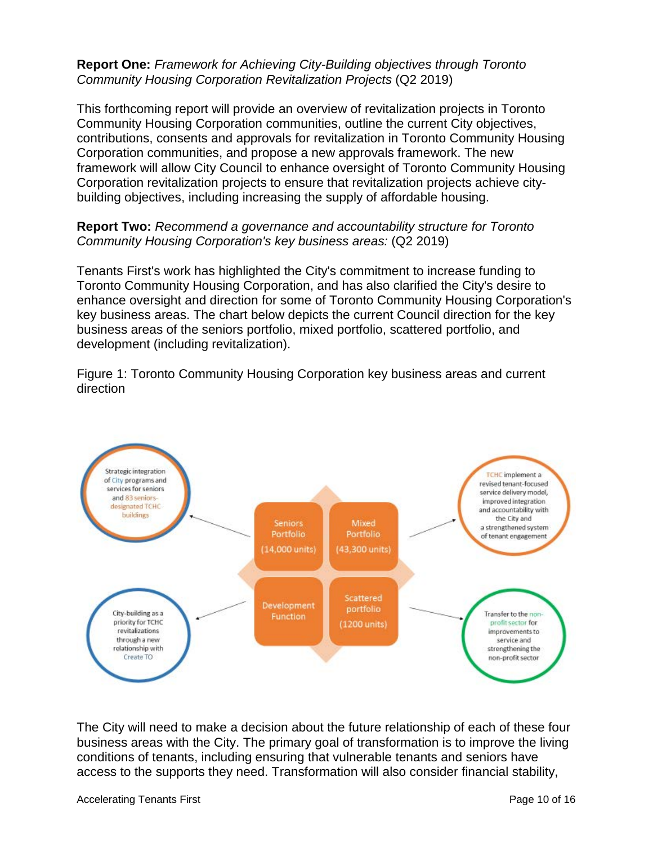#### **Report One:** *Framework for Achieving City-Building objectives through Toronto Community Housing Corporation Revitalization Projects* (Q2 2019)

This forthcoming report will provide an overview of revitalization projects in Toronto Community Housing Corporation communities, outline the current City objectives, contributions, consents and approvals for revitalization in Toronto Community Housing Corporation communities, and propose a new approvals framework. The new framework will allow City Council to enhance oversight of Toronto Community Housing Corporation revitalization projects to ensure that revitalization projects achieve citybuilding objectives, including increasing the supply of affordable housing.

#### **Report Two:** *Recommend a governance and accountability structure for Toronto Community Housing Corporation's key business areas:* (Q2 2019)

Tenants First's work has highlighted the City's commitment to increase funding to Toronto Community Housing Corporation, and has also clarified the City's desire to enhance oversight and direction for some of Toronto Community Housing Corporation's key business areas. The chart below depicts the current Council direction for the key business areas of the seniors portfolio, mixed portfolio, scattered portfolio, and development (including revitalization).

Figure 1: Toronto Community Housing Corporation key business areas and current direction



The City will need to make a decision about the future relationship of each of these four business areas with the City. The primary goal of transformation is to improve the living conditions of tenants, including ensuring that vulnerable tenants and seniors have access to the supports they need. Transformation will also consider financial stability,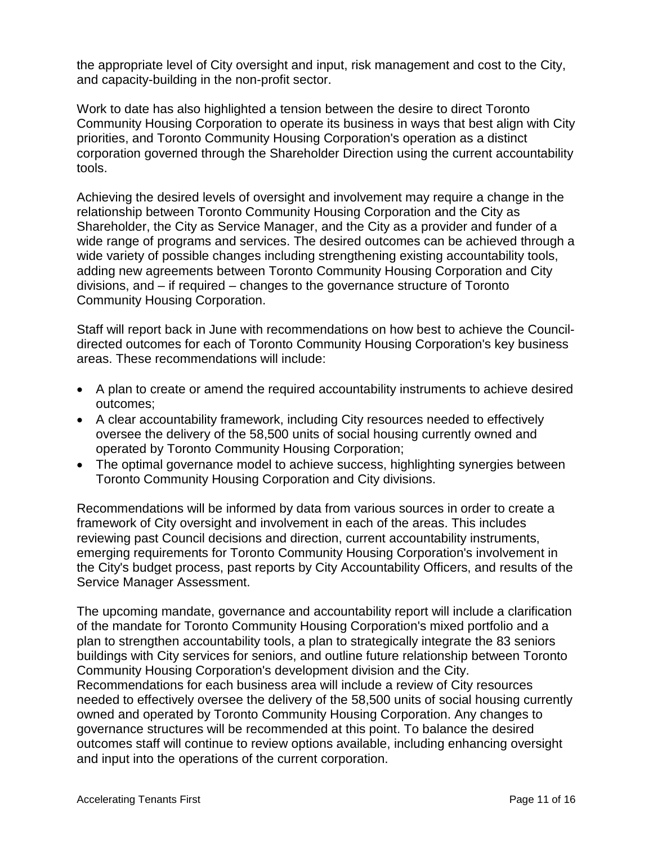the appropriate level of City oversight and input, risk management and cost to the City, and capacity-building in the non-profit sector.

Work to date has also highlighted a tension between the desire to direct Toronto Community Housing Corporation to operate its business in ways that best align with City priorities, and Toronto Community Housing Corporation's operation as a distinct corporation governed through the Shareholder Direction using the current accountability tools.

Achieving the desired levels of oversight and involvement may require a change in the relationship between Toronto Community Housing Corporation and the City as Shareholder, the City as Service Manager, and the City as a provider and funder of a wide range of programs and services. The desired outcomes can be achieved through a wide variety of possible changes including strengthening existing accountability tools, adding new agreements between Toronto Community Housing Corporation and City divisions, and – if required – changes to the governance structure of Toronto Community Housing Corporation.

Staff will report back in June with recommendations on how best to achieve the Councildirected outcomes for each of Toronto Community Housing Corporation's key business areas. These recommendations will include:

- A plan to create or amend the required accountability instruments to achieve desired outcomes;
- A clear accountability framework, including City resources needed to effectively oversee the delivery of the 58,500 units of social housing currently owned and operated by Toronto Community Housing Corporation;
- The optimal governance model to achieve success, highlighting synergies between Toronto Community Housing Corporation and City divisions.

Recommendations will be informed by data from various sources in order to create a framework of City oversight and involvement in each of the areas. This includes reviewing past Council decisions and direction, current accountability instruments, emerging requirements for Toronto Community Housing Corporation's involvement in the City's budget process, past reports by City Accountability Officers, and results of the Service Manager Assessment.

The upcoming mandate, governance and accountability report will include a clarification of the mandate for Toronto Community Housing Corporation's mixed portfolio and a plan to strengthen accountability tools, a plan to strategically integrate the 83 seniors buildings with City services for seniors, and outline future relationship between Toronto Community Housing Corporation's development division and the City. Recommendations for each business area will include a review of City resources needed to effectively oversee the delivery of the 58,500 units of social housing currently owned and operated by Toronto Community Housing Corporation. Any changes to governance structures will be recommended at this point. To balance the desired outcomes staff will continue to review options available, including enhancing oversight and input into the operations of the current corporation.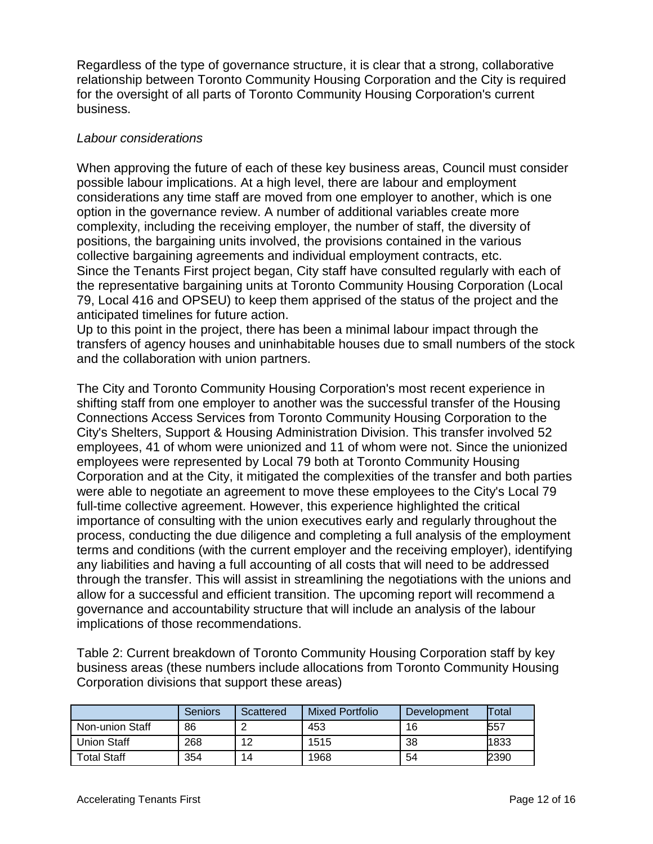Regardless of the type of governance structure, it is clear that a strong, collaborative relationship between Toronto Community Housing Corporation and the City is required for the oversight of all parts of Toronto Community Housing Corporation's current business.

#### *Labour considerations*

When approving the future of each of these key business areas, Council must consider possible labour implications. At a high level, there are labour and employment considerations any time staff are moved from one employer to another, which is one option in the governance review. A number of additional variables create more complexity, including the receiving employer, the number of staff, the diversity of positions, the bargaining units involved, the provisions contained in the various collective bargaining agreements and individual employment contracts, etc. Since the Tenants First project began, City staff have consulted regularly with each of the representative bargaining units at Toronto Community Housing Corporation (Local 79, Local 416 and OPSEU) to keep them apprised of the status of the project and the anticipated timelines for future action.

Up to this point in the project, there has been a minimal labour impact through the transfers of agency houses and uninhabitable houses due to small numbers of the stock and the collaboration with union partners.

The City and Toronto Community Housing Corporation's most recent experience in shifting staff from one employer to another was the successful transfer of the Housing Connections Access Services from Toronto Community Housing Corporation to the City's Shelters, Support & Housing Administration Division. This transfer involved 52 employees, 41 of whom were unionized and 11 of whom were not. Since the unionized employees were represented by Local 79 both at Toronto Community Housing Corporation and at the City, it mitigated the complexities of the transfer and both parties were able to negotiate an agreement to move these employees to the City's Local 79 full-time collective agreement. However, this experience highlighted the critical importance of consulting with the union executives early and regularly throughout the process, conducting the due diligence and completing a full analysis of the employment terms and conditions (with the current employer and the receiving employer), identifying any liabilities and having a full accounting of all costs that will need to be addressed through the transfer. This will assist in streamlining the negotiations with the unions and allow for a successful and efficient transition. The upcoming report will recommend a governance and accountability structure that will include an analysis of the labour implications of those recommendations.

Table 2: Current breakdown of Toronto Community Housing Corporation staff by key business areas (these numbers include allocations from Toronto Community Housing Corporation divisions that support these areas)

|                    | Seniors | Scattered | <b>Mixed Portfolio</b> | Development | Total |
|--------------------|---------|-----------|------------------------|-------------|-------|
| Non-union Staff    | 86      |           | 453                    | 16          | 557   |
| <b>Union Staff</b> | 268     | 12        | 1515                   | 38          | 1833  |
| <b>Total Staff</b> | 354     | 14        | 1968                   | 54          | 2390  |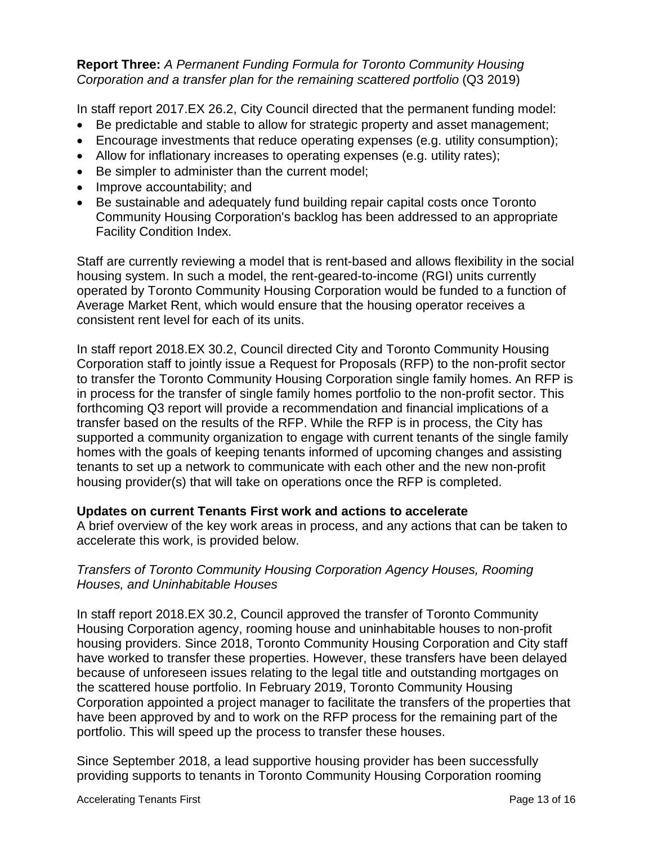#### **Report Three:** *A Permanent Funding Formula for Toronto Community Housing Corporation and a transfer plan for the remaining scattered portfolio* (Q3 2019)

In staff report 2017.EX 26.2, City Council directed that the permanent funding model:

- Be predictable and stable to allow for strategic property and asset management;
- Encourage investments that reduce operating expenses (e.g. utility consumption);
- Allow for inflationary increases to operating expenses (e.g. utility rates);
- Be simpler to administer than the current model;
- Improve accountability; and
- Be sustainable and adequately fund building repair capital costs once Toronto Community Housing Corporation's backlog has been addressed to an appropriate Facility Condition Index.

Staff are currently reviewing a model that is rent-based and allows flexibility in the social housing system. In such a model, the rent-geared-to-income (RGI) units currently operated by Toronto Community Housing Corporation would be funded to a function of Average Market Rent, which would ensure that the housing operator receives a consistent rent level for each of its units.

In staff report 2018.EX 30.2, Council directed City and Toronto Community Housing Corporation staff to jointly issue a Request for Proposals (RFP) to the non-profit sector to transfer the Toronto Community Housing Corporation single family homes. An RFP is in process for the transfer of single family homes portfolio to the non-profit sector. This forthcoming Q3 report will provide a recommendation and financial implications of a transfer based on the results of the RFP. While the RFP is in process, the City has supported a community organization to engage with current tenants of the single family homes with the goals of keeping tenants informed of upcoming changes and assisting tenants to set up a network to communicate with each other and the new non-profit housing provider(s) that will take on operations once the RFP is completed.

#### **Updates on current Tenants First work and actions to accelerate**

A brief overview of the key work areas in process, and any actions that can be taken to accelerate this work, is provided below.

#### *Transfers of Toronto Community Housing Corporation Agency Houses, Rooming Houses, and Uninhabitable Houses*

In staff report 2018.EX 30.2, Council approved the transfer of Toronto Community Housing Corporation agency, rooming house and uninhabitable houses to non-profit housing providers. Since 2018, Toronto Community Housing Corporation and City staff have worked to transfer these properties. However, these transfers have been delayed because of unforeseen issues relating to the legal title and outstanding mortgages on the scattered house portfolio. In February 2019, Toronto Community Housing Corporation appointed a project manager to facilitate the transfers of the properties that have been approved by and to work on the RFP process for the remaining part of the portfolio. This will speed up the process to transfer these houses.

Since September 2018, a lead supportive housing provider has been successfully providing supports to tenants in Toronto Community Housing Corporation rooming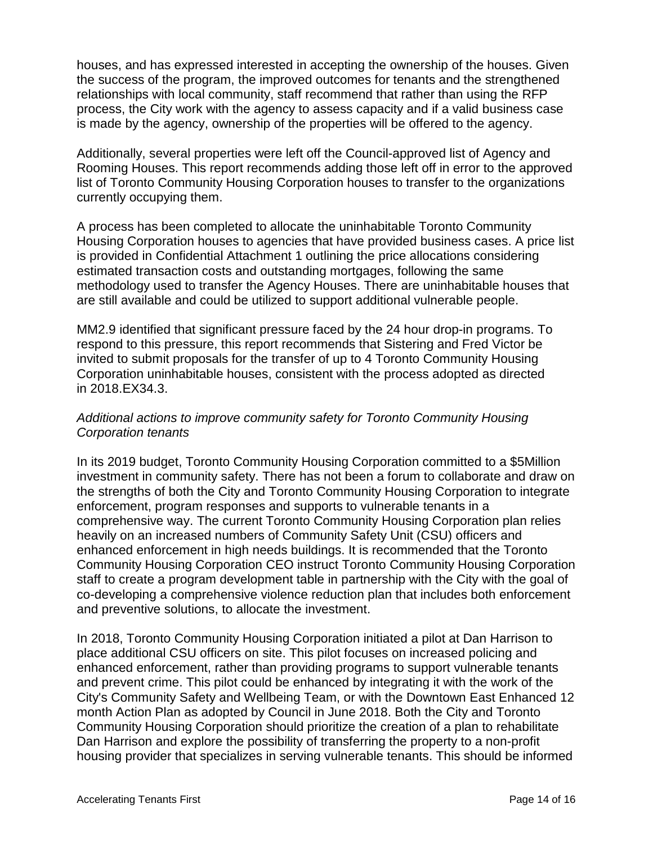houses, and has expressed interested in accepting the ownership of the houses. Given the success of the program, the improved outcomes for tenants and the strengthened relationships with local community, staff recommend that rather than using the RFP process, the City work with the agency to assess capacity and if a valid business case is made by the agency, ownership of the properties will be offered to the agency.

Additionally, several properties were left off the Council-approved list of Agency and Rooming Houses. This report recommends adding those left off in error to the approved list of Toronto Community Housing Corporation houses to transfer to the organizations currently occupying them.

A process has been completed to allocate the uninhabitable Toronto Community Housing Corporation houses to agencies that have provided business cases. A price list is provided in Confidential Attachment 1 outlining the price allocations considering estimated transaction costs and outstanding mortgages, following the same methodology used to transfer the Agency Houses. There are uninhabitable houses that are still available and could be utilized to support additional vulnerable people.

MM2.9 identified that significant pressure faced by the 24 hour drop-in programs. To respond to this pressure, this report recommends that Sistering and Fred Victor be invited to submit proposals for the transfer of up to 4 Toronto Community Housing Corporation uninhabitable houses, consistent with the process adopted as directed in 2018.EX34.3.

#### *Additional actions to improve community safety for Toronto Community Housing Corporation tenants*

In its 2019 budget, Toronto Community Housing Corporation committed to a \$5Million investment in community safety. There has not been a forum to collaborate and draw on the strengths of both the City and Toronto Community Housing Corporation to integrate enforcement, program responses and supports to vulnerable tenants in a comprehensive way. The current Toronto Community Housing Corporation plan relies heavily on an increased numbers of Community Safety Unit (CSU) officers and enhanced enforcement in high needs buildings. It is recommended that the Toronto Community Housing Corporation CEO instruct Toronto Community Housing Corporation staff to create a program development table in partnership with the City with the goal of co-developing a comprehensive violence reduction plan that includes both enforcement and preventive solutions, to allocate the investment.

In 2018, Toronto Community Housing Corporation initiated a pilot at Dan Harrison to place additional CSU officers on site. This pilot focuses on increased policing and enhanced enforcement, rather than providing programs to support vulnerable tenants and prevent crime. This pilot could be enhanced by integrating it with the work of the City's Community Safety and Wellbeing Team, or with the Downtown East Enhanced 12 month Action Plan as adopted by Council in June 2018. Both the City and Toronto Community Housing Corporation should prioritize the creation of a plan to rehabilitate Dan Harrison and explore the possibility of transferring the property to a non-profit housing provider that specializes in serving vulnerable tenants. This should be informed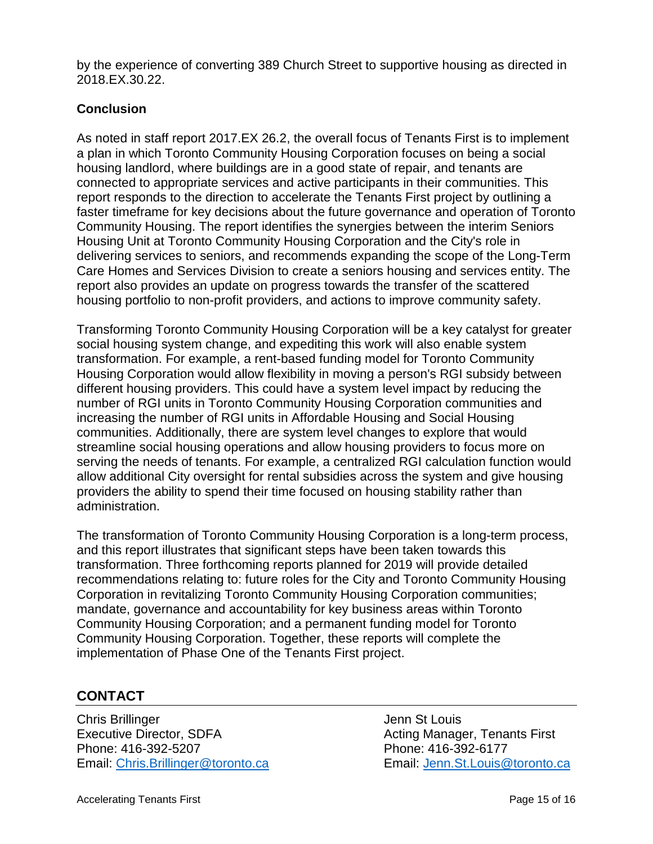by the experience of converting 389 Church Street to supportive housing as directed in 2018.EX.30.22.

#### **Conclusion**

As noted in staff report 2017.EX 26.2, the overall focus of Tenants First is to implement a plan in which Toronto Community Housing Corporation focuses on being a social housing landlord, where buildings are in a good state of repair, and tenants are connected to appropriate services and active participants in their communities. This report responds to the direction to accelerate the Tenants First project by outlining a faster timeframe for key decisions about the future governance and operation of Toronto Community Housing. The report identifies the synergies between the interim Seniors Housing Unit at Toronto Community Housing Corporation and the City's role in delivering services to seniors, and recommends expanding the scope of the Long-Term Care Homes and Services Division to create a seniors housing and services entity. The report also provides an update on progress towards the transfer of the scattered housing portfolio to non-profit providers, and actions to improve community safety.

Transforming Toronto Community Housing Corporation will be a key catalyst for greater social housing system change, and expediting this work will also enable system transformation. For example, a rent-based funding model for Toronto Community Housing Corporation would allow flexibility in moving a person's RGI subsidy between different housing providers. This could have a system level impact by reducing the number of RGI units in Toronto Community Housing Corporation communities and increasing the number of RGI units in Affordable Housing and Social Housing communities. Additionally, there are system level changes to explore that would streamline social housing operations and allow housing providers to focus more on serving the needs of tenants. For example, a centralized RGI calculation function would allow additional City oversight for rental subsidies across the system and give housing providers the ability to spend their time focused on housing stability rather than administration.

The transformation of Toronto Community Housing Corporation is a long-term process, and this report illustrates that significant steps have been taken towards this transformation. Three forthcoming reports planned for 2019 will provide detailed recommendations relating to: future roles for the City and Toronto Community Housing Corporation in revitalizing Toronto Community Housing Corporation communities; mandate, governance and accountability for key business areas within Toronto Community Housing Corporation; and a permanent funding model for Toronto Community Housing Corporation. Together, these reports will complete the implementation of Phase One of the Tenants First project.

# **CONTACT**

**Chris Brillinger Chris Brillinger** Jenn St Louis Executive Director, SDFA Acting Manager, Tenants First Phone: 416-392-5207 Phone: 416-392-6177 Email: [Chris.Brillinger@toronto.ca](mailto:Chris.Brillinger@toronto.ca) Email: [Jenn.St.Louis@toronto.ca](mailto:Jenn.St.Louis@toronto.ca)